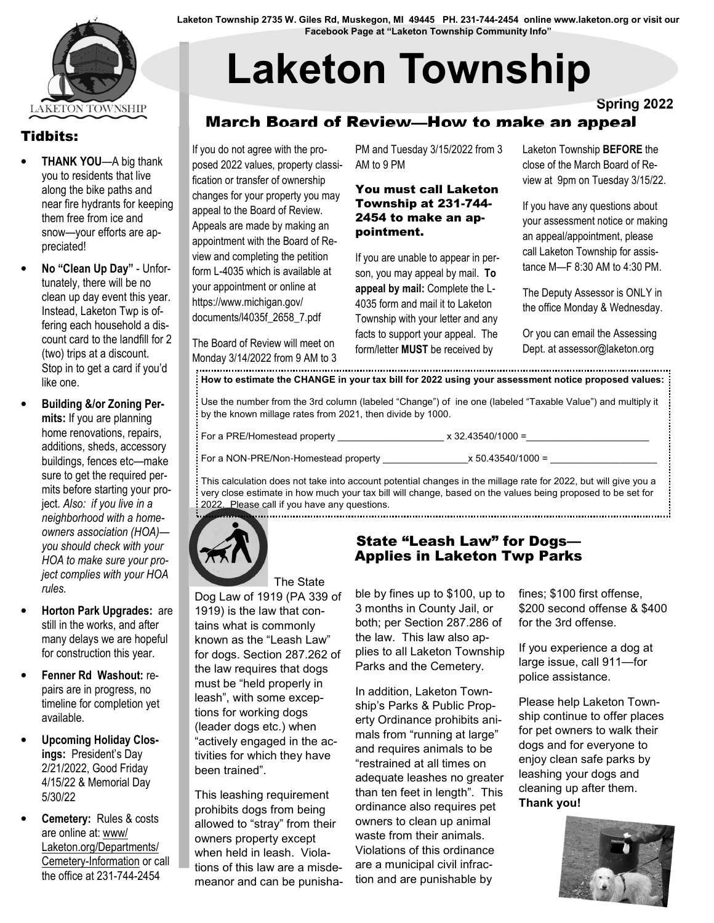

### Tidbits:

- **THANK YOU—A big thank** you to residents that live along the bike paths and near fire hydrants for keeping them free from ice and snow—your efforts are appreciated!
- No "Clean Up Day" Unfortunately, there will be no clean up day event this year. Instead, Laketon Twp is offering each household a discount card to the landfill for 2 (two) trips at a discount. Stop in to get a card if you'd like one.
- Building &/or Zoning Permits: If you are planning home renovations, repairs, additions, sheds, accessory buildings, fences etc—make sure to get the required permits before starting your project. Also: if you live in a neighborhood with a homeowners association (HOA) you should check with your HOA to make sure your project complies with your HOA rules.
- Horton Park Upgrades: are still in the works, and after many delays we are hopeful for construction this year.
- Fenner Rd Washout: repairs are in progress, no timeline for completion yet available.
- Upcoming Holiday Closings: President's Day 2/21/2022, Good Friday 4/15/22 & Memorial Day 5/30/22
- Cemetery: Rules & costs are online at: www/ Laketon.org/Departments/ Cemetery-Information or call the office at 231-744-2454

Laketon Township 2735 W. Giles Rd, Muskegon, MI 49445 PH. 231**-**744**-**2454 online www.laketon.org or visit our Facebook Page at "Laketon Township Community Info"

# Laketon Township

Spring 2022

# March Board of Review—How to make an appeal

If you do not agree with the proposed 2022 values, property classification or transfer of ownership changes for your property you may appeal to the Board of Review. Appeals are made by making an appointment with the Board of Review and completing the petition form L-4035 which is available at your appointment or online at https://www.michigan.gov/ documents/l4035f\_2658\_7.pdf

PM and Tuesday 3/15/2022 from 3 AM to 9 PM

#### You must call Laketon Township at 231-744- 2454 to make an appointment.

If you are unable to appear in person, you may appeal by mail. To appeal by mail: Complete the L-4035 form and mail it to Laketon Township with your letter and any facts to support your appeal. The form/letter MUST be received by

Laketon Township BEFORE the close of the March Board of Review at 9pm on Tuesday 3/15/22.

If you have any questions about your assessment notice or making an appeal/appointment, please call Laketon Township for assistance M—F 8:30 AM to 4:30 PM.

The Deputy Assessor is ONLY in the office Monday & Wednesday.

Or you can email the Assessing Dept. at assessor@laketon.org

Monday 3/14/2022 from 9 AM to 3 How to estimate the CHANGE in your tax bill for 2022 using your assessment notice proposed values:

Use the number from the 3rd column (labeled "Change") of ine one (labeled "Taxable Value") and multiply it by the known millage rates from 2021, then divide by 1000.

The Board of Review will meet on

 $x 32.43540/1000 =$ 

For a NON-PRE/Non-Homestead property  $x 50.43540/1000 =$ 

This calculation does not take into account potential changes in the millage rate for 2022, but will give you a very close estimate in how much your tax bill will change, based on the values being proposed to be set for 2022. Please call if you have any questions.



 The State Dog Law of 1919 (PA 339 of 1919) is the law that contains what is commonly known as the "Leash Law" for dogs. Section 287.262 of the law requires that dogs must be "held properly in leash", with some exceptions for working dogs (leader dogs etc.) when "actively engaged in the activities for which they have been trained".

This leashing requirement prohibits dogs from being allowed to "stray" from their owners property except when held in leash. Violations of this law are a misdemeanor and can be punisha-

### State "Leash Law" for Dogs— Applies in Laketon Twp Parks

ble by fines up to \$100, up to 3 months in County Jail, or both; per Section 287.286 of the law. This law also applies to all Laketon Township Parks and the Cemetery.

In addition, Laketon Township's Parks & Public Property Ordinance prohibits animals from "running at large" and requires animals to be "restrained at all times on adequate leashes no greater than ten feet in length". This ordinance also requires pet owners to clean up animal waste from their animals. Violations of this ordinance are a municipal civil infraction and are punishable by

fines; \$100 first offense, \$200 second offense & \$400 for the 3rd offense.

If you experience a dog at large issue, call 911—for police assistance.

Please help Laketon Township continue to offer places for pet owners to walk their dogs and for everyone to enjoy clean safe parks by leashing your dogs and cleaning up after them. Thank you!